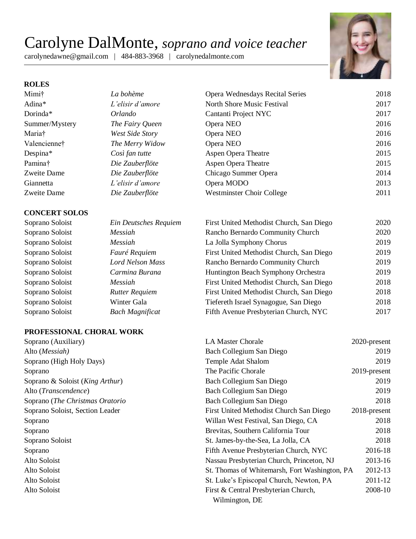# Carolyne DalMonte, *soprano and voice teacher*

carolynedawne@gmail.com | 484-883-3968 | carolynedalmonte.com



## **ROLES**

### **CONCERT SOLOS**

Soprano Soloist *Ein Deutsches Requiem* Soprano Soloist *Messiah* Soprano Soloist *Messiah* Soprano Soloist *Fauré Requiem* Soprano Soloist *Lord Nelson Mass* Soprano Soloist *Carmina Burana* Soprano Soloist Messiah Soprano Soloist *Rutter Requiem* Soprano Soloist Winter Gala Soprano Soloist *Bach Magnificat* 

| Mimi†          | La bohème        | Opera Wednesdays Recital Series  | 2018 |
|----------------|------------------|----------------------------------|------|
| Adina*         | L'elisir d'amore | North Shore Music Festival       | 2017 |
| Dorinda*       | <i>Orlando</i>   | Cantanti Project NYC             | 2017 |
| Summer/Mystery | The Fairy Queen  | Opera NEO                        | 2016 |
| Maria†         | West Side Story  | Opera NEO                        | 2016 |
| Valencienne†   | The Merry Widow  | Opera NEO                        | 2016 |
| Despina*       | Così fan tutte   | <b>Aspen Opera Theatre</b>       | 2015 |
| Pamina†        | Die Zauberflöte  | <b>Aspen Opera Theatre</b>       | 2015 |
| Zweite Dame    | Die Zauberflöte  | Chicago Summer Opera             | 2014 |
| Giannetta      | L'elisir d'amore | Opera MODO                       | 2013 |
| Zweite Dame    | Die Zauberflöte  | <b>Westminster Choir College</b> | 2011 |

| First United Methodist Church, San Diego | 2020 |
|------------------------------------------|------|
| Rancho Bernardo Community Church         | 2020 |
| La Jolla Symphony Chorus                 | 2019 |
| First United Methodist Church, San Diego | 2019 |
| Rancho Bernardo Community Church         | 2019 |
| Huntington Beach Symphony Orchestra      | 2019 |
| First United Methodist Church, San Diego | 2018 |
| First United Methodist Church, San Diego | 2018 |
| Tiefereth Israel Synagogue, San Diego    | 2018 |
| Fifth Avenue Presbyterian Church, NYC    | 2017 |

| Soprano (Auxiliary)             | <b>LA Master Chorale</b>                      | 2020-present |
|---------------------------------|-----------------------------------------------|--------------|
| Alto (Messiah)                  | Bach Collegium San Diego                      | 2019         |
| Soprano (High Holy Days)        | Temple Adat Shalom                            | 2019         |
| Soprano                         | The Pacific Chorale                           | 2019-present |
| Soprano & Soloist (King Arthur) | Bach Collegium San Diego                      | 2019         |
| Alto (Transcendence)            | Bach Collegium San Diego                      | 2019         |
| Soprano (The Christmas Oratorio | Bach Collegium San Diego                      | 2018         |
| Soprano Soloist, Section Leader | First United Methodist Church San Diego       | 2018-present |
| Soprano                         | Willan West Festival, San Diego, CA           | 2018         |
| Soprano                         | Brevitas, Southern California Tour            | 2018         |
| Soprano Soloist                 | St. James-by-the-Sea, La Jolla, CA            | 2018         |
| Soprano                         | Fifth Avenue Presbyterian Church, NYC         | 2016-18      |
| Alto Soloist                    | Nassau Presbyterian Church, Princeton, NJ     | 2013-16      |
| Alto Soloist                    | St. Thomas of Whitemarsh, Fort Washington, PA | 2012-13      |
| Alto Soloist                    | St. Luke's Episcopal Church, Newton, PA       | 2011-12      |
| Alto Soloist                    | First & Central Presbyterian Church,          | 2008-10      |
|                                 | Wilmington, DE                                |              |

#### **PROFESSIONAL CHORAL WORK**

| Soprano (Auxiliary)             |
|---------------------------------|
| Alto ( <i>Messiah</i> )         |
| Soprano (High Holy Days)        |
| Soprano                         |
| Soprano & Soloist (King Arthur) |
| Alto (Transcendence)            |
| Soprano (The Christmas Oratorio |
| Soprano Soloist, Section Leader |
| Soprano                         |
| Soprano                         |
| Soprano Soloist                 |
| Soprano                         |
| Alto Soloist                    |
| Alto Soloist                    |
| Alto Soloist                    |
| Alto Soloist                    |